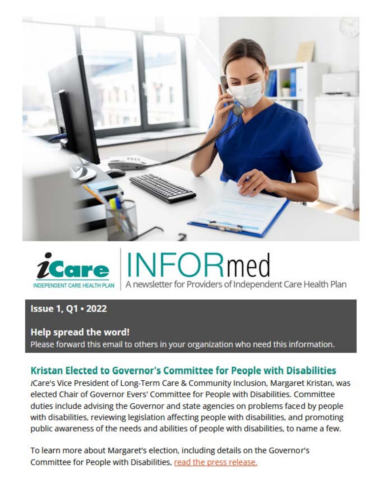



# **Issue 1, Q1 • 2022**

### **Help spread the word!**

Please forward this email to others in your organization who need this information.

# **Kristan Elected to Governor's Committee for People with Disabilities**

iCare's Vice President of Long-Term Care & Community Inclusion, Margaret Kristan, was elected Chair of Governor Evers' Committee for People with Disabilities. Committee duties include advising the Governor and state agencies on problems faced by people with disabilities, reviewing legislation affecting people with disabilities, and promoting public awareness of the needs and abilities of people with disabilities, to name a few.

To learn more about Margaret's election. including details on the Governor's Committee for People with Disabilities, read the press release.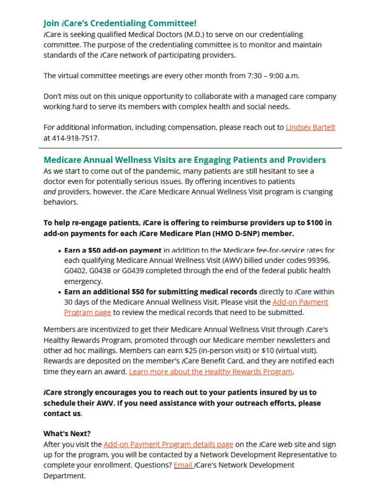# **Join iCare's Credentialing Committee!**

iCare is seeking qualified Medical Doctors (M.D.) to serve on our credentialing committee. The purpose of the credentialing committee is to monitor and maintain standards of the iCare network of participating providers.

The virtual committee meetings are every other month from 7:30 - 9:00 a.m.

Don't miss out on this unique opportunity to collaborate with a managed care company working hard to serve its members with complex health and social needs.

For additional information, including compensation, please reach out t[o Lindsey Bartelt](mailto:lbartelt@icarehealthplan.org)  at 414-918-7517.

### **Medicare Annual Wellness Visits are Engaging Patients and Providers**

As we start to come out of the pandemic, many patients are still hesitant to see a doctor even for potentially serious issues. By offering incentives to patients and providers, however, the iCare Medicare Annual Wellness Visit program is changing behaviors.

### **To help re-engage patients, iCare is offering to reimburse providers up to \$100 in add-on payments for each iCare Medicare Plan (HMO D-SNP) member.**

- Earn a \$50 add-on payment in addition to the Medicare fee-for-service rates for each qualifying Medicare Annual Wellness Visit (AWV) billed under codes 99396. G0402, G0438 or G0439 completed through the end of the federal public health emergency.
- **Earn an additional SSO for submitting medical records** directly to iCare within 30 days of the Medicare Annual Wellness Visit. Please visit the Add-on Payment Program page to review the medical records that need to be submitted.

Members are incentivized to get their Medicare Annual Wellness Visit through ¿Care's Healthy Rewards Program, promoted through our Medicare member newsletters and other ad hoc mailings. Members can earn \$25 (in-person visit) or \$10 (virtual visit). Rewards are deposited on the member's iCare Benefit Card, and they are notified each time they earn an award. Learn more about the Healthy Rewards Program.

### **iCare strongly encourages you to reach out to your patients insured by us to schedule their AWV. If you need assistance with your outreach efforts, please contact us.**

#### **What's Next?**

After you visit the Add-on Payment Program details page on the iCare web site and sign up for the program, you will be contacted by a Network Development Representative to complete your enrollment. Questions? [Email](mailto:netdev@icarehealthplan.org) iCare's Network Development Department.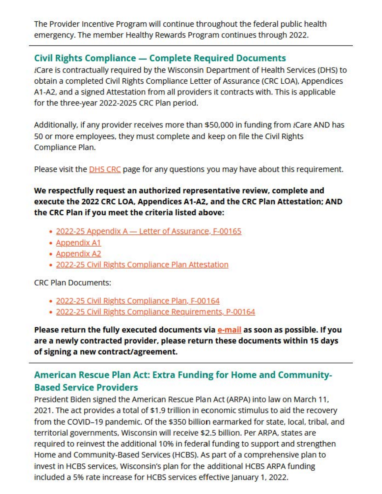The Provider Incentive Program will continue throughout the federal public health emergency. The member Healthy Rewards Program continues through 2022.

# **Civil Rights Compliance — Complete Required Documents**

*i*Care is contractually required by the Wisconsin Department of Health Services (DHS) to obtain a completed Civil Rights Compliance Letter of Assurance (CRC LOA), Appendices **A** 1-A2, and a signed Attestation from all providers it contracts with. This is applicable for the three-year 2022-2025 CRC Plan period.

Additionally, if any provider receives more than \$50,000 in funding from iCare AND has 50 or more employees, they must complete and keep on file the Civil Rights Compliance Plan.

Please visit the **DHS CRC** page for any questions you may have about this requirement.

### **We respectfully request an authorized representative review, complete and execute the 2022 CRC LOA. Appendices A1-A2. and the CRC Plan Attestation; AND the CRC Plan if you meet the criteria listed above:**

- 2022-25 Appendix A [Letter of Assurance, F-001](https://us-ms.gr-cdn.com/getresponse-S9YQt/documents/88be4fa5-e403-480b-bef1-f75f1bffae8e.docx)65
- Appendix A1
- Appendix A2
- • [2022-25 Civil Rights Compliance Plan Attestation](https://us-ms.gr-cdn.com/getresponse-S9YQt/documents/c069f354-94ce-4fbc-9587-7484576f17d0.pdf)

#### CRC Plan Documents:

- [2022-25 Civil Rights Compliance Plan, F-00164](https://us-ms.gr-cdn.com/getresponse-S9YQt/documents/49ea68ec-08cf-4f20-a1c5-1212d9219b8e.docx)
- 2022-25 Civil Rights Compliance Requirements, P-00164

**Please return the fully executed documents via [e-mail a](mailto:compliance@icarehealthplan.org)s soon as possible. If you are a newly contracted provider, please return these documents within 15 days of signing a new contract/agreement.** 

# **American Rescue Plan Act: Extra Funding for Home and Community-Based Service Providers**

President Biden signed the American Rescue Plan Act (ARPA) into law on March 11, 2021. The act provides a total of \$1.9 trillion in economic stimulus to aid the recovery from the COVID-19 pandemic. Of the \$350 billion earmarked for state, local, tribal, and territorial governments, Wisconsin will receive \$2.5 billion. Per ARPA, states are required to reinvest the additional 10% in federal funding to support and strengthen Home and Community-Based Services (HCBS). As part of a comprehensive plan to invest in HCBS services, Wisconsin's plan for the additional HCBS ARPA funding included a 5% rate increase for HCBS services effective January 1, 2022.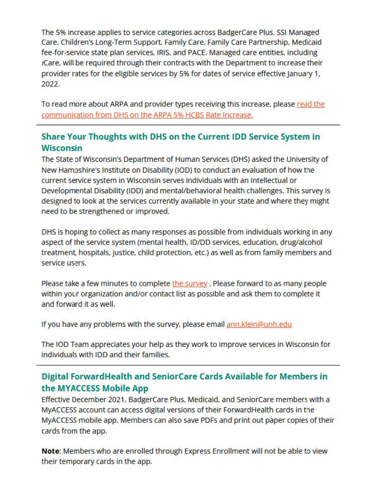The 5% increase applies to service categories across BadgerCare Plus. SSI Managed Care, Children's Long-Term Support, Family Care, Family Care Partnership, Medicaid fee-for-service state plan services. IRIS, and PACE. Managed care entities, including iCare, will be required through their contracts with the Department to increase their provider rates for the eligible services by 5% for dates of service effective January 1. 2022.

To read more about ARPA and provider types receiving this increase, please [read the](https://us-ms.gr-cdn.com/getresponse-S9YQt/documents/b3b7cd06-8343-4715-8247-498853fd857a.pdf)  [communication from DHS on the ARPA 5% HCBS Rate Increase.](https://us-ms.gr-cdn.com/getresponse-S9YQt/documents/b3b7cd06-8343-4715-8247-498853fd857a.pdf) 

## **Share Your Thoughts with OHS on the Current 100 Service System in Wisconsin**

The State of Wisconsin's Department of Human Services (DHS) asked the University of New Hampshire's Institute on Disability (100) to conduct an evaluation of how the current service system in Wisconsin serves individuals with an Intellectual or Developmental Disability (IDD) and mental/behavioral health challenges. This survey is designed to look at the services currently available in your state and where they might need to be strengthened or improved.

DHS is hoping to collect as many responses as possible from individuals working in any aspect of the service system (mental health, ID/DD services, education, drug/alcohol treatment, hospitals, justice, child protection, etc.) as well as from family members and service users.

Please take a few minutes to complete [the survey](https://unh.az1.qualtrics.com/jfe/form/SV_72vssgcOOb1xl2K). Please forward to as many people within your organization and/or contact list as possible and ask them to complete it and forward it as well.

If you have any problems with the survey, please email ann.klein@unh.edu

The 100 Team appreciates your help as they work to improve services in Wisconsin for individuals with IDD and their families.

# **Digital ForwardHealth and SeniorCare Cards Available for Members in the MYACCESS Mobile App**

Effective December 2021, BadgerCare Plus, Medicaid. and SeniorCare members with a MyACCESS account can access digital versions of their ForwardHealth cards in the MyACCESS mobile app. Members can also save PDFs and print out paper copies of their cards from the app.

**Note:** Members who are enrolled through Express Enrollment will not be able to view their temporary cards in the app.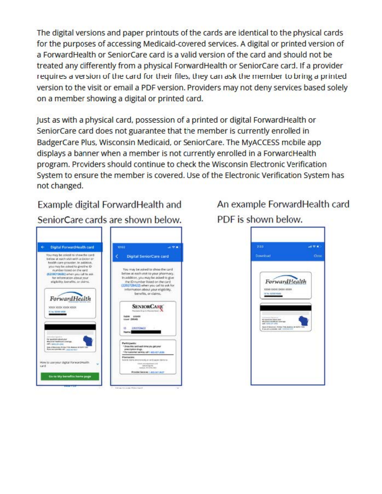The digital versions and paper printouts of the cards are identical to the physical cards for the purposes of accessing Medicaid-covered services. A digital or printed version of a Forward Health or SeniorCare card is a valid version of the card and should not be treated any differently from a physical ForwardHealth or SeniorCare card. If a provider requires a version of the card for their files, they can ask the member to bring a printed version to the visit or email a PDF version. Providers may not deny services based solely on a member showing a digital or printed card.

Just as with a physical card, possession of a printed or digital ForwardHealth or SeniorCare card does not guarantee that the member is currently enrolled in BadgerCare Plus. Wisconsin Medicaid. or SeniorCare. The MyACCESS mobile app displays a banner when a member is not currently enrolled in a ForwardHealth program. Providers should continue to check the Wisconsin Electronic Verification System to ensure the member is covered. Use of the Electronic Verification System has not changed.

Example digital ForwardHealth and SeniorCare cards are shown below.



An example ForwardHealth card PDF is shown below.

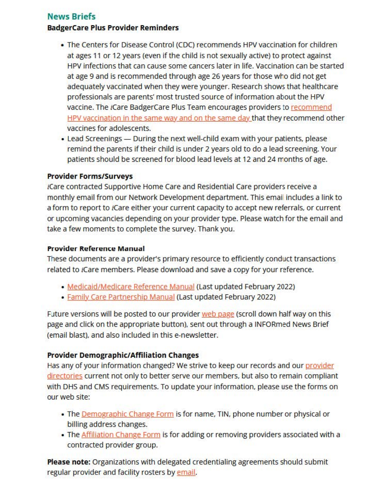## **News Briefs**

#### **BadgerCare Plus Provider Reminders**

- The Centers for Disease Control (CDC) recommends HPV vaccination for children at ages 11 or 12 years (even if the child is not sexually active) to protect against HPV infections that can cause some cancers later in life. Vaccination can be started at age 9 and is recommended through age 26 years for those who did not get adequately vaccinated when they were younger. Research shows that healthcare professionals are parents' most trusted source of information about the HPV vaccine. The iCare BadgerCare Plus Team encourages providers to recommend [HPV vaccination in the same way and on the same day t](https://www.cdc.gov/hpv/hcp/answering-questions.html)hat they recommend other vaccines for adolescents.
- Lead Screenings During the next well-child exam with your patients, please remind the parents if their child is under 2 years old to do a lead screening. Your patients should be screened for blood lead levels at 12 and 24 months of age.

#### **Provider Forms/Surveys**

*i*Care contracted Supportive Home Care and Residential Care providers receive a monthly email from our Network Development department. This email includes a link to a form to report to iCare either your current capacity to accept new referrals. or current or upcoming vacancies depending on your provider type. Please watch for the email and take a few moments to complete the survey. Thank you.

#### **Provider Reference Manual**

These documents are a provider's primary resource to efficiently conduct transactions related to iCare members. Please download and save a copy for your reference.

- [Medicaid/Medicare Reference Manual](https://www.icarehealthplan.org/Files/Resources/PROVIDER-DOCS/Provider_Reference_Manual) (Last updated February 2022)
- Family Care Partnership Manual (Last updated February 2022)

Future versions will be posted to our provider web page (scroll down half way on this page and click on the appropriate button), sent out through a INFORmed News Brief (email blast), and also included in this e-newsletter.

### **Provider Demographic/Affiliation Changes**

Has any of your information changed? We strive to keep our records and our provider [directories c](https://www.icarehealthplan.org/Members/Member-Documents.htm)urrent not only to better serve our members. but also to remain compliant with OHS and CMS requirements. To update your information. please use the forms on our web site:

- The Demographic Change Form is for name, TIN, phone number or physical or billing address changes.
- The [Affiliation Change Form i](https://www.icarehealthplan.org/Files/Resources/PROVIDER-DOCS/Provider_Affiliation_Change_Form.pdf)s for adding or removing providers associated with a contracted provider group.

**Please note:** Organizations with delegated credentialing agreements should submit regular provider and facility rosters by email.